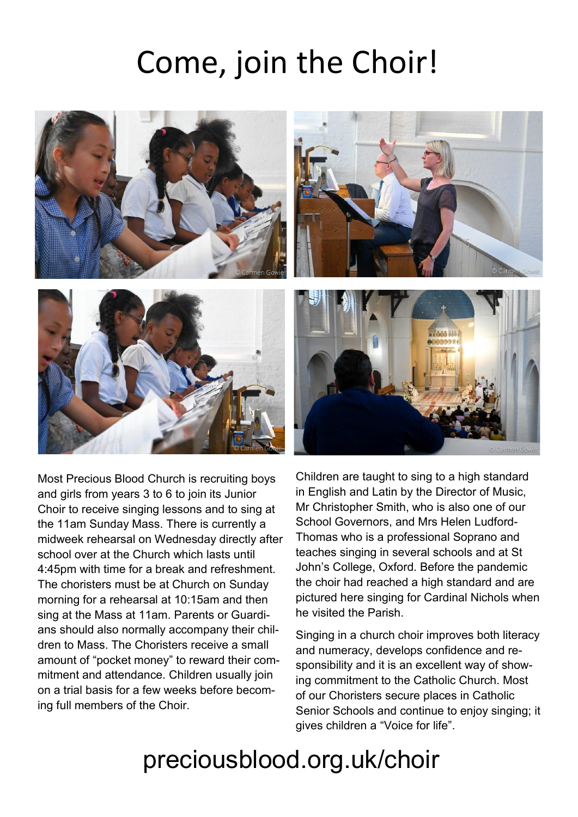## Come, join the Choir!



Most Precious Blood Church is recruiting boys and girls from years 3 to 6 to join its Junior Choir to receive singing lessons and to sing at the 11am Sunday Mass. There is currently a midweek rehearsal on Wednesday directly after school over at the Church which lasts until 4:45pm with time for a break and refreshment. The choristers must be at Church on Sunday morning for a rehearsal at 10:15am and then sing at the Mass at 11am. Parents or Guardians should also normally accompany their children to Mass. The Choristers receive a small amount of "pocket money" to reward their commitment and attendance. Children usually join on a trial basis for a few weeks before becoming full members of the Choir.

Children are taught to sing to a high standard in English and Latin by the Director of Music, Mr Christopher Smith, who is also one of our School Governors, and Mrs Helen Ludford-Thomas who is a professional Soprano and teaches singing in several schools and at St John's College, Oxford. Before the pandemic the choir had reached a high standard and are pictured here singing for Cardinal Nichols when he visited the Parish.

Singing in a church choir improves both literacy and numeracy, develops confidence and responsibility and it is an excellent way of showing commitment to the Catholic Church. Most of our Choristers secure places in Catholic Senior Schools and continue to enjoy singing; it gives children a "Voice for life".

## preciousblood.org.uk/choir